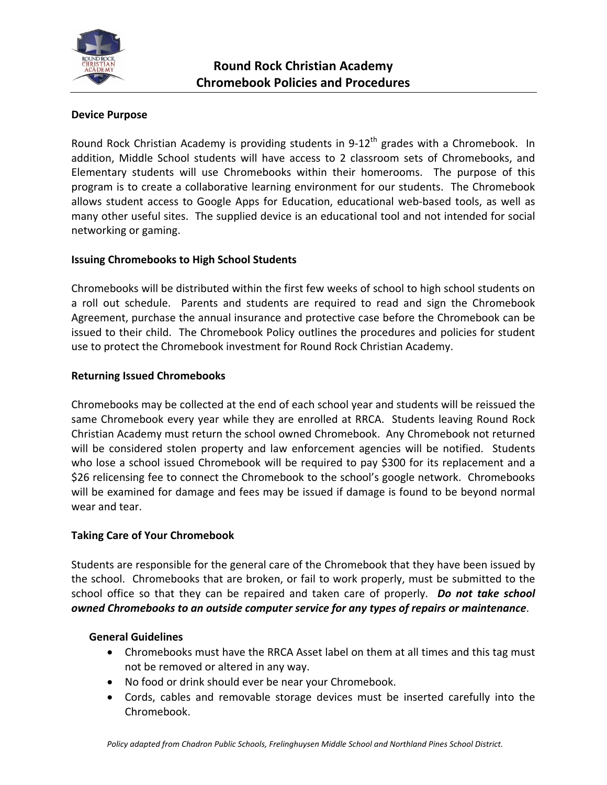

# **Device Purpose**

Round Rock Christian Academy is providing students in  $9-12^{th}$  grades with a Chromebook. In addition, Middle School students will have access to 2 classroom sets of Chromebooks, and Elementary students will use Chromebooks within their homerooms. The purpose of this program is to create a collaborative learning environment for our students. The Chromebook allows student access to Google Apps for Education, educational web‐based tools, as well as many other useful sites. The supplied device is an educational tool and not intended for social networking or gaming.

## **Issuing Chromebooks to High School Students**

Chromebooks will be distributed within the first few weeks of school to high school students on a roll out schedule. Parents and students are required to read and sign the Chromebook Agreement, purchase the annual insurance and protective case before the Chromebook can be issued to their child. The Chromebook Policy outlines the procedures and policies for student use to protect the Chromebook investment for Round Rock Christian Academy.

## **Returning Issued Chromebooks**

Chromebooks may be collected at the end of each school year and students will be reissued the same Chromebook every year while they are enrolled at RRCA. Students leaving Round Rock Christian Academy must return the school owned Chromebook. Any Chromebook not returned will be considered stolen property and law enforcement agencies will be notified. Students who lose a school issued Chromebook will be required to pay \$300 for its replacement and a \$26 relicensing fee to connect the Chromebook to the school's google network. Chromebooks will be examined for damage and fees may be issued if damage is found to be beyond normal wear and tear.

## **Taking Care of Your Chromebook**

Students are responsible for the general care of the Chromebook that they have been issued by the school. Chromebooks that are broken, or fail to work properly, must be submitted to the school office so that they can be repaired and taken care of properly. *Do not take school owned Chromebooks to an outside computer service for any types of repairs or maintenance*.

## **General Guidelines**

- Chromebooks must have the RRCA Asset label on them at all times and this tag must not be removed or altered in any way.
- No food or drink should ever be near your Chromebook.
- Cords, cables and removable storage devices must be inserted carefully into the Chromebook.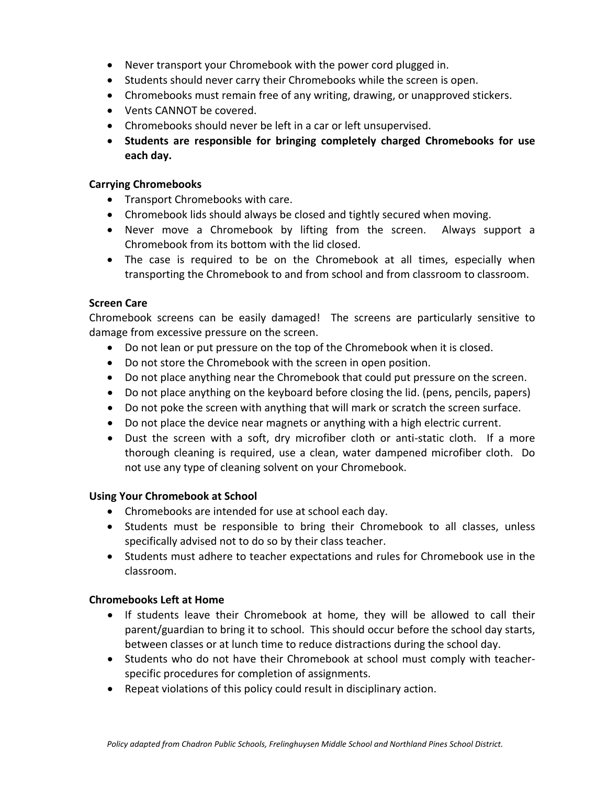- Never transport your Chromebook with the power cord plugged in.
- Students should never carry their Chromebooks while the screen is open.
- Chromebooks must remain free of any writing, drawing, or unapproved stickers.
- Vents CANNOT be covered.
- Chromebooks should never be left in a car or left unsupervised.
- **Students are responsible for bringing completely charged Chromebooks for use each day.**

#### **Carrying Chromebooks**

- Transport Chromebooks with care.
- Chromebook lids should always be closed and tightly secured when moving.
- Never move a Chromebook by lifting from the screen. Always support a Chromebook from its bottom with the lid closed.
- The case is required to be on the Chromebook at all times, especially when transporting the Chromebook to and from school and from classroom to classroom.

#### **Screen Care**

Chromebook screens can be easily damaged! The screens are particularly sensitive to damage from excessive pressure on the screen.

- Do not lean or put pressure on the top of the Chromebook when it is closed.
- Do not store the Chromebook with the screen in open position.
- Do not place anything near the Chromebook that could put pressure on the screen.
- Do not place anything on the keyboard before closing the lid. (pens, pencils, papers)
- Do not poke the screen with anything that will mark or scratch the screen surface.
- Do not place the device near magnets or anything with a high electric current.
- Dust the screen with a soft, dry microfiber cloth or anti-static cloth. If a more thorough cleaning is required, use a clean, water dampened microfiber cloth. Do not use any type of cleaning solvent on your Chromebook.

## **Using Your Chromebook at School**

- Chromebooks are intended for use at school each day.
- Students must be responsible to bring their Chromebook to all classes, unless specifically advised not to do so by their class teacher.
- Students must adhere to teacher expectations and rules for Chromebook use in the classroom.

## **Chromebooks Left at Home**

- If students leave their Chromebook at home, they will be allowed to call their parent/guardian to bring it to school. This should occur before the school day starts, between classes or at lunch time to reduce distractions during the school day.
- Students who do not have their Chromebook at school must comply with teacherspecific procedures for completion of assignments.
- Repeat violations of this policy could result in disciplinary action.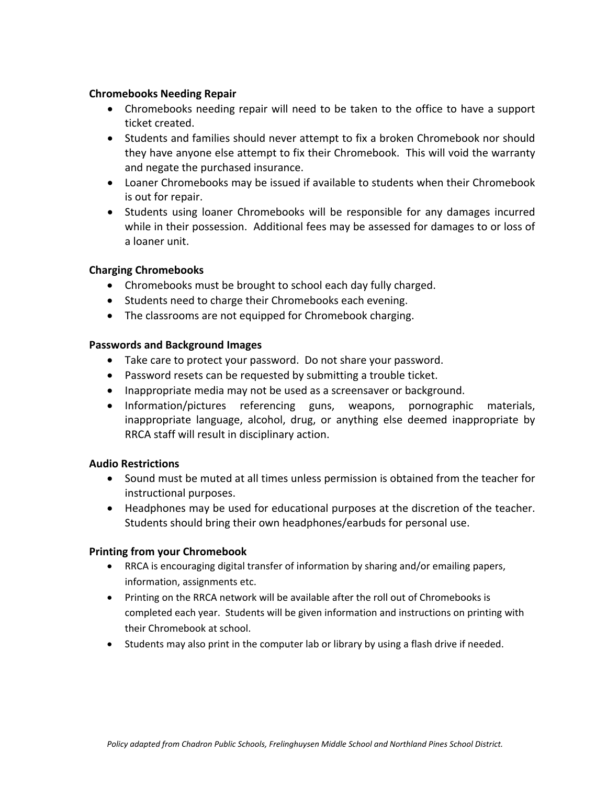### **Chromebooks Needing Repair**

- Chromebooks needing repair will need to be taken to the office to have a support ticket created.
- Students and families should never attempt to fix a broken Chromebook nor should they have anyone else attempt to fix their Chromebook. This will void the warranty and negate the purchased insurance.
- Loaner Chromebooks may be issued if available to students when their Chromebook is out for repair.
- Students using loaner Chromebooks will be responsible for any damages incurred while in their possession. Additional fees may be assessed for damages to or loss of a loaner unit.

## **Charging Chromebooks**

- Chromebooks must be brought to school each day fully charged.
- Students need to charge their Chromebooks each evening.
- The classrooms are not equipped for Chromebook charging.

#### **Passwords and Background Images**

- Take care to protect your password. Do not share your password.
- Password resets can be requested by submitting a trouble ticket.
- Inappropriate media may not be used as a screensaver or background.
- Information/pictures referencing guns, weapons, pornographic materials, inappropriate language, alcohol, drug, or anything else deemed inappropriate by RRCA staff will result in disciplinary action.

## **Audio Restrictions**

- Sound must be muted at all times unless permission is obtained from the teacher for instructional purposes.
- Headphones may be used for educational purposes at the discretion of the teacher. Students should bring their own headphones/earbuds for personal use.

## **Printing from your Chromebook**

- RRCA is encouraging digital transfer of information by sharing and/or emailing papers, information, assignments etc.
- Printing on the RRCA network will be available after the roll out of Chromebooks is completed each year. Students will be given information and instructions on printing with their Chromebook at school.
- Students may also print in the computer lab or library by using a flash drive if needed.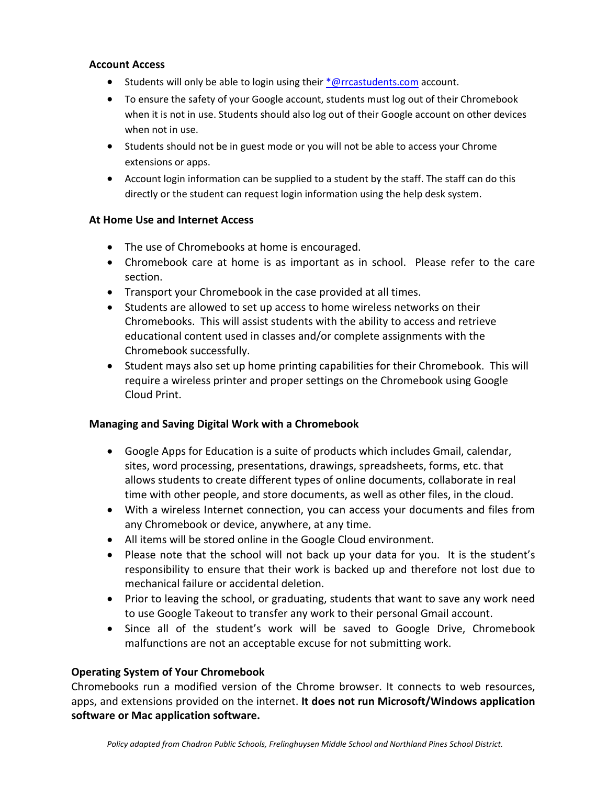## **Account Access**

- **Students will only be able to login using their**  $*$  **@rrcastudents.com account.**
- To ensure the safety of your Google account, students must log out of their Chromebook when it is not in use. Students should also log out of their Google account on other devices when not in use.
- Students should not be in guest mode or you will not be able to access your Chrome extensions or apps.
- Account login information can be supplied to a student by the staff. The staff can do this directly or the student can request login information using the help desk system.

## **At Home Use and Internet Access**

- The use of Chromebooks at home is encouraged.
- Chromebook care at home is as important as in school. Please refer to the care section.
- Transport your Chromebook in the case provided at all times.
- Students are allowed to set up access to home wireless networks on their Chromebooks. This will assist students with the ability to access and retrieve educational content used in classes and/or complete assignments with the Chromebook successfully.
- Student mays also set up home printing capabilities for their Chromebook. This will require a wireless printer and proper settings on the Chromebook using Google Cloud Print.

# **Managing and Saving Digital Work with a Chromebook**

- Google Apps for Education is a suite of products which includes Gmail, calendar, sites, word processing, presentations, drawings, spreadsheets, forms, etc. that allows students to create different types of online documents, collaborate in real time with other people, and store documents, as well as other files, in the cloud.
- With a wireless Internet connection, you can access your documents and files from any Chromebook or device, anywhere, at any time.
- All items will be stored online in the Google Cloud environment.
- Please note that the school will not back up your data for you. It is the student's responsibility to ensure that their work is backed up and therefore not lost due to mechanical failure or accidental deletion.
- Prior to leaving the school, or graduating, students that want to save any work need to use Google Takeout to transfer any work to their personal Gmail account.
- Since all of the student's work will be saved to Google Drive, Chromebook malfunctions are not an acceptable excuse for not submitting work.

# **Operating System of Your Chromebook**

Chromebooks run a modified version of the Chrome browser. It connects to web resources, apps, and extensions provided on the internet. **It does not run Microsoft/Windows application software or Mac application software.**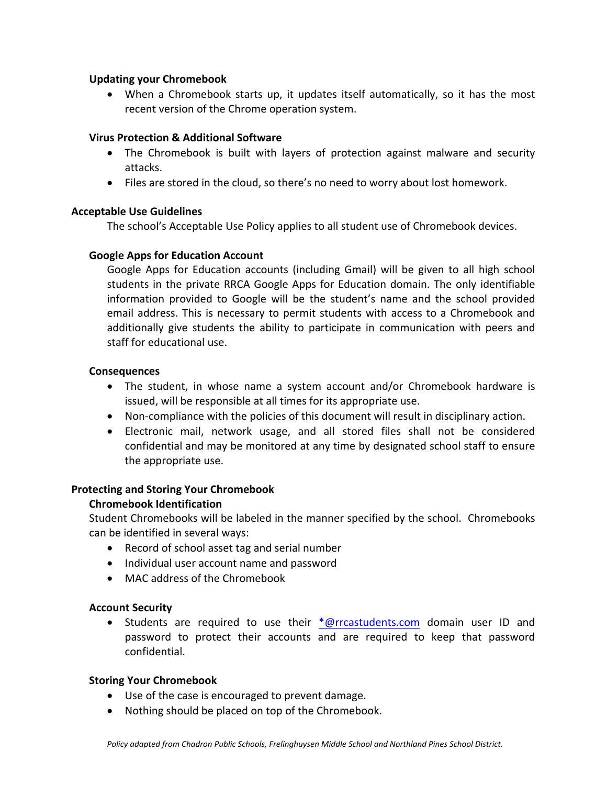## **Updating your Chromebook**

 When a Chromebook starts up, it updates itself automatically, so it has the most recent version of the Chrome operation system.

## **Virus Protection & Additional Software**

- The Chromebook is built with layers of protection against malware and security attacks.
- Files are stored in the cloud, so there's no need to worry about lost homework.

## **Acceptable Use Guidelines**

 The school's Acceptable Use Policy applies to all student use of Chromebook devices.

## **Google Apps for Education Account**

Google Apps for Education accounts (including Gmail) will be given to all high school students in the private RRCA Google Apps for Education domain. The only identifiable information provided to Google will be the student's name and the school provided email address. This is necessary to permit students with access to a Chromebook and additionally give students the ability to participate in communication with peers and staff for educational use.

## **Consequences**

- The student, in whose name a system account and/or Chromebook hardware is issued, will be responsible at all times for its appropriate use.
- Non-compliance with the policies of this document will result in disciplinary action.
- Electronic mail, network usage, and all stored files shall not be considered confidential and may be monitored at any time by designated school staff to ensure the appropriate use.

# **Protecting and Storing Your Chromebook**

# **Chromebook Identification**

Student Chromebooks will be labeled in the manner specified by the school. Chromebooks can be identified in several ways:

- Record of school asset tag and serial number
- Individual user account name and password
- MAC address of the Chromebook

## **Account Security**

• Students are required to use their \*@rrcastudents.com domain user ID and password to protect their accounts and are required to keep that password confidential.

## **Storing Your Chromebook**

- Use of the case is encouraged to prevent damage.
- Nothing should be placed on top of the Chromebook.